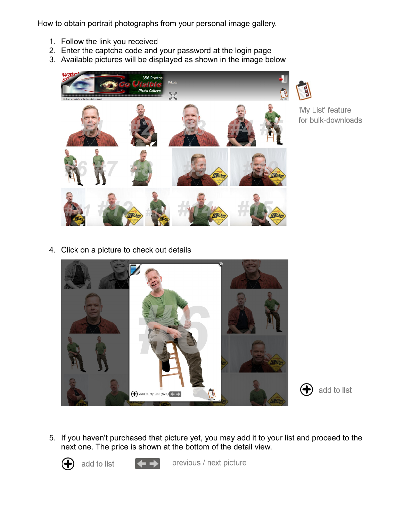How to obtain portrait photographs from your personal image gallery.

- 1. Follow the link you received
- 2. Enter the captcha code and your password at the login page
- 3. Available pictures will be displayed as shown in the image below



'My List' feature for bulk-downloads

4. Click on a picture to check out details





5. If you haven't purchased that picture yet, you may add it to your list and proceed to the next one. The price is shown at the bottom of the detail view.



add to list



previous / next picture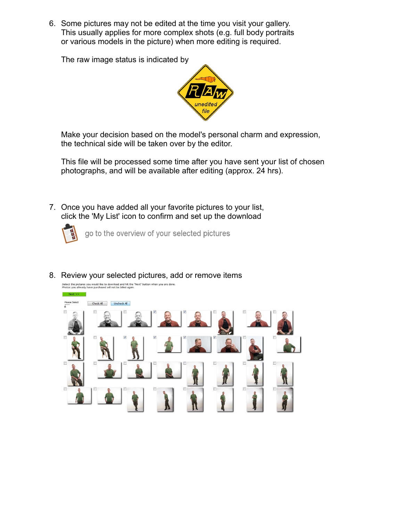6. Some pictures may not be edited at the time you visit your gallery. This usually applies for more complex shots (e.g. full body portraits or various models in the picture) when more editing is required.

The raw image status is indicated by



Make your decision based on the model's personal charm and expression, the technical side will be taken over by the editor.

This file will be processed some time after you have sent your list of chosen photographs, and will be available after editing (approx. 24 hrs).

7. Once you have added all your favorite pictures to your list, click the 'My List' icon to confirm and set up the download



go to the overview of your selected pictures



8. Review your selected pictures, add or remove items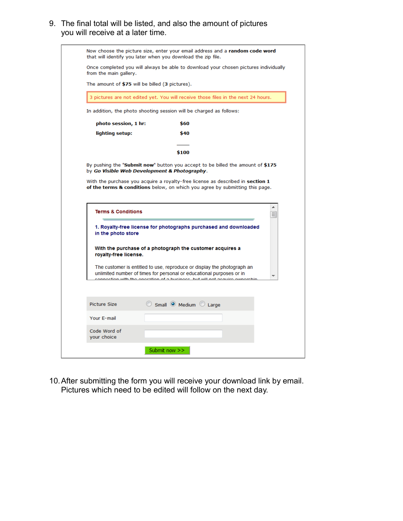9. The final total will be listed, and also the amount of pictures you will receive at a later time.

| 3 pictures are not edited yet. You will receive those files in the next 24 hours.                                                                              |   |
|----------------------------------------------------------------------------------------------------------------------------------------------------------------|---|
|                                                                                                                                                                |   |
| In addition, the photo shooting session will be charged as follows:                                                                                            |   |
| photo session, 1 hr:<br>\$60                                                                                                                                   |   |
| lighting setup:<br>\$40                                                                                                                                        |   |
| \$100                                                                                                                                                          |   |
| By pushing the "Submit now" button you accept to be billed the amount of \$175<br>by Go Visible Web Development & Photography.                                 |   |
| With the purchase you acquire a royalty-free license as described in section 1<br>of the terms & conditions below, on which you agree by submitting this page. |   |
|                                                                                                                                                                |   |
|                                                                                                                                                                |   |
|                                                                                                                                                                | ▲ |
| <b>Terms &amp; Conditions</b>                                                                                                                                  | 킈 |
| 1. Royalty-free license for photographs purchased and downloaded                                                                                               |   |
| in the photo store                                                                                                                                             |   |
| With the purchase of a photograph the customer acquires a<br>royalty-free license.                                                                             |   |
| The customer is entitled to use, reproduce or display the photograph an                                                                                        |   |
| unlimited number of times for personal or educational purposes or in<br>oction with the energtion of a huciness. but will not acquire                          |   |
|                                                                                                                                                                |   |
| Small O Medium C Large<br><b>Picture Size</b>                                                                                                                  |   |
| Your E-mail                                                                                                                                                    |   |
| Code Word of                                                                                                                                                   |   |

10.After submitting the form you will receive your download link by email. Pictures which need to be edited will follow on the next day.